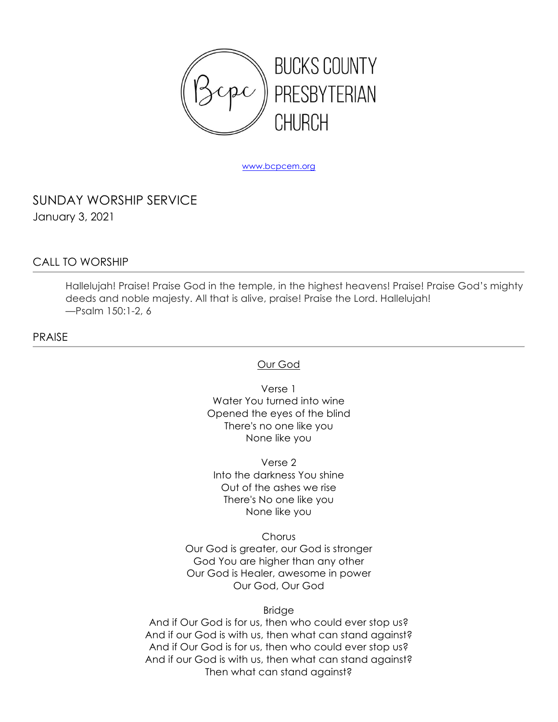

www.bcpcem.org

SUNDAY WORSHIP SERVICE January 3, 2021

# CALL TO WORSHIP

Hallelujah! Praise! Praise God in the temple, in the highest heavens! Praise! Praise God's mighty deeds and noble majesty. All that is alive, praise! Praise the Lord. Hallelujah! —Psalm 150:1-2, 6

## PRAISE

#### Our God

Verse 1 Water You turned into wine Opened the eyes of the blind There's no one like you None like you

Verse 2 Into the darkness You shine Out of the ashes we rise There's No one like you None like you

Chorus Our God is greater, our God is stronger God You are higher than any other Our God is Healer, awesome in power Our God, Our God

#### Bridge

And if Our God is for us, then who could ever stop us? And if our God is with us, then what can stand against? And if Our God is for us, then who could ever stop us? And if our God is with us, then what can stand against? Then what can stand against?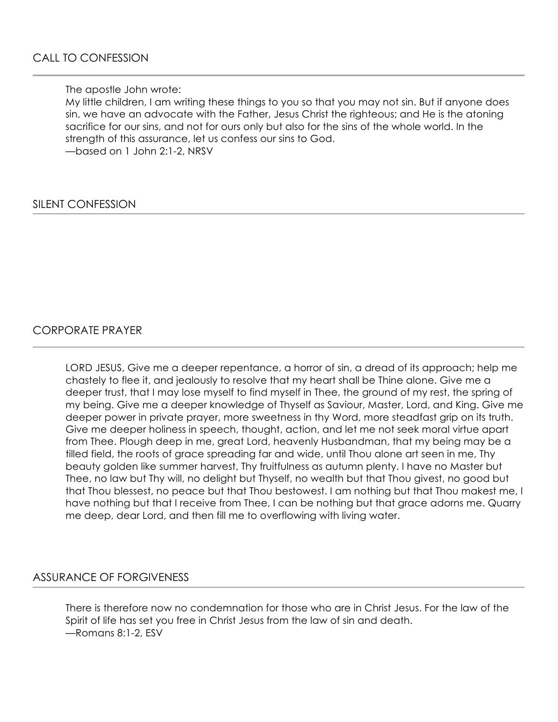### The apostle John wrote:

My little children, I am writing these things to you so that you may not sin. But if anyone does sin, we have an advocate with the Father, Jesus Christ the righteous; and He is the atoning sacrifice for our sins, and not for ours only but also for the sins of the whole world. In the strength of this assurance, let us confess our sins to God. —based on 1 John 2:1-2, NRSV

# SILENT CONFESSION

# CORPORATE PRAYER

LORD JESUS, Give me a deeper repentance, a horror of sin, a dread of its approach; help me chastely to flee it, and jealously to resolve that my heart shall be Thine alone. Give me a deeper trust, that I may lose myself to find myself in Thee, the ground of my rest, the spring of my being. Give me a deeper knowledge of Thyself as Saviour, Master, Lord, and King. Give me deeper power in private prayer, more sweetness in thy Word, more steadfast grip on its truth. Give me deeper holiness in speech, thought, action, and let me not seek moral virtue apart from Thee. Plough deep in me, great Lord, heavenly Husbandman, that my being may be a tilled field, the roots of grace spreading far and wide, until Thou alone art seen in me, Thy beauty golden like summer harvest, Thy fruitfulness as autumn plenty. I have no Master but Thee, no law but Thy will, no delight but Thyself, no wealth but that Thou givest, no good but that Thou blessest, no peace but that Thou bestowest. I am nothing but that Thou makest me, I have nothing but that I receive from Thee, I can be nothing but that grace adorns me. Quarry me deep, dear Lord, and then fill me to overflowing with living water.

## ASSURANCE OF FORGIVENESS

There is therefore now no condemnation for those who are in Christ Jesus. For the law of the Spirit of life has set you free in Christ Jesus from the law of sin and death. —Romans 8:1-2, ESV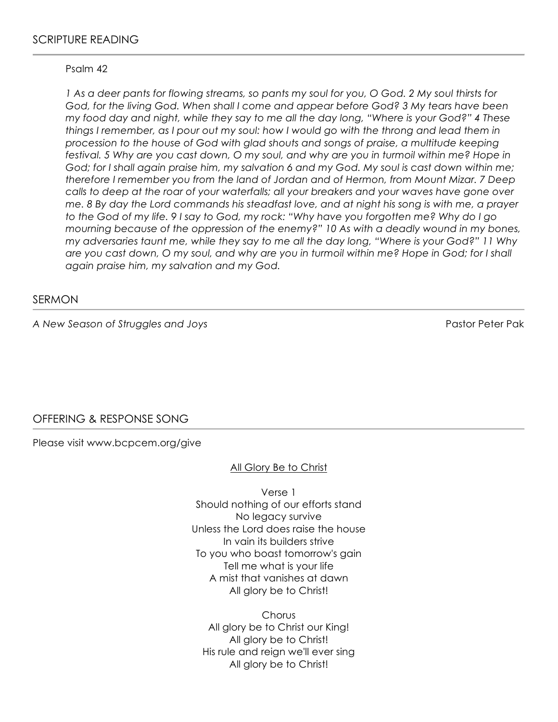#### Psalm 42

*1 As a deer pants for flowing streams, so pants my soul for you, O God. 2 My soul thirsts for God, for the living God. When shall I come and appear before God? 3 My tears have been my food day and night, while they say to me all the day long, "Where is your God?" 4 These things I remember, as I pour out my soul: how I would go with the throng and lead them in procession to the house of God with glad shouts and songs of praise, a multitude keeping festival. 5 Why are you cast down, O my soul, and why are you in turmoil within me? Hope in God; for I shall again praise him, my salvation 6 and my God. My soul is cast down within me; therefore I remember you from the land of Jordan and of Hermon, from Mount Mizar. 7 Deep calls to deep at the roar of your waterfalls; all your breakers and your waves have gone over me. 8 By day the Lord commands his steadfast love, and at night his song is with me, a prayer to the God of my life. 9 I say to God, my rock: "Why have you forgotten me? Why do I go mourning because of the oppression of the enemy?" 10 As with a deadly wound in my bones, my adversaries taunt me, while they say to me all the day long, "Where is your God?" 11 Why are you cast down, O my soul, and why are you in turmoil within me? Hope in God; for I shall again praise him, my salvation and my God.*

#### SERMON

*A New Season of Struggles and Joys* Pastor Peter Pak

# OFFERING & RESPONSE SONG

Please visit www.bcpcem.org/give

#### All Glory Be to Christ

Verse 1 Should nothing of our efforts stand No legacy survive Unless the Lord does raise the house In vain its builders strive To you who boast tomorrow's gain Tell me what is your life A mist that vanishes at dawn All glory be to Christ!

**Chorus** All glory be to Christ our King! All glory be to Christ! His rule and reign we'll ever sing All glory be to Christ!